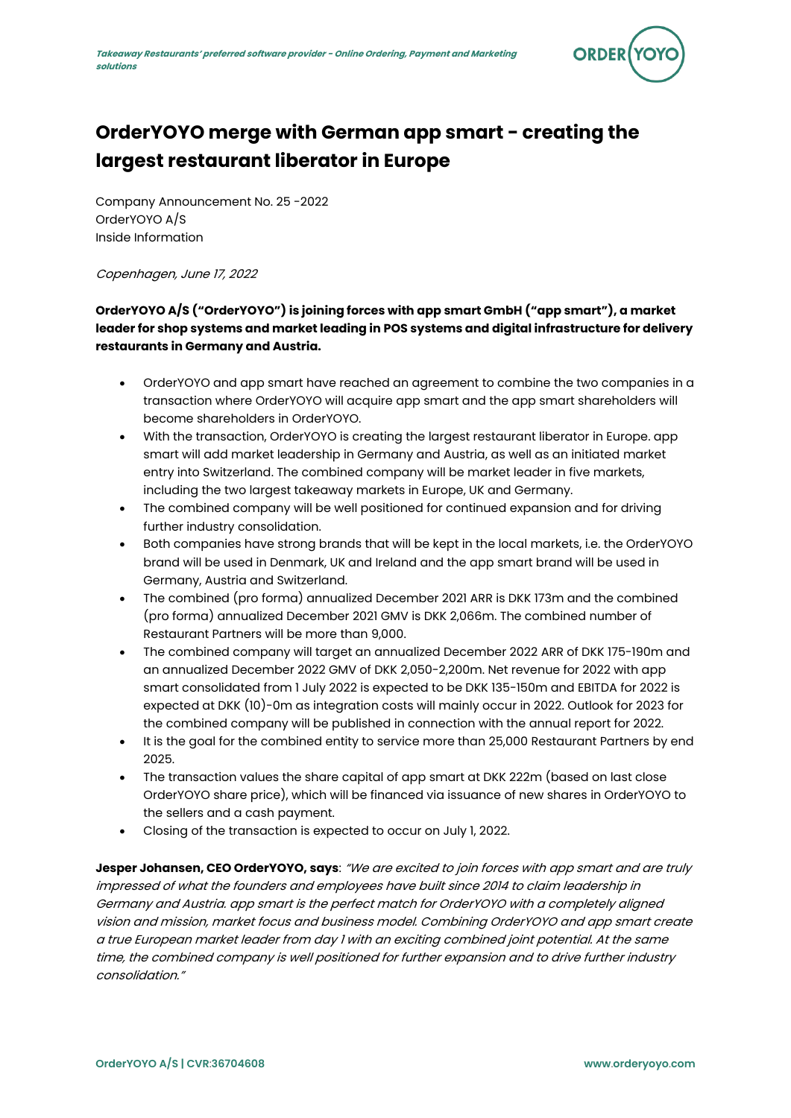

# **OrderYOYO merge with German app smart - creating the largest restaurant liberator in Europe**

Company Announcement No. 25 -2022 OrderYOYO A/S Inside Information

Copenhagen, June 17, 2022

## **OrderYOYO A/S ("OrderYOYO") is joining forces with app smart GmbH ("app smart"), a market leader for shop systems and market leading in POS systems and digital infrastructure for delivery restaurants in Germany and Austria.**

- OrderYOYO and app smart have reached an agreement to combine the two companies in a transaction where OrderYOYO will acquire app smart and the app smart shareholders will become shareholders in OrderYOYO.
- With the transaction, OrderYOYO is creating the largest restaurant liberator in Europe. app smart will add market leadership in Germany and Austria, as well as an initiated market entry into Switzerland. The combined company will be market leader in five markets, including the two largest takeaway markets in Europe, UK and Germany.
- The combined company will be well positioned for continued expansion and for driving further industry consolidation.
- Both companies have strong brands that will be kept in the local markets, i.e. the OrderYOYO brand will be used in Denmark, UK and Ireland and the app smart brand will be used in Germany, Austria and Switzerland.
- The combined (pro forma) annualized December 2021 ARR is DKK 173m and the combined (pro forma) annualized December 2021 GMV is DKK 2,066m. The combined number of Restaurant Partners will be more than 9,000.
- The combined company will target an annualized December 2022 ARR of DKK 175-190m and an annualized December 2022 GMV of DKK 2,050-2,200m. Net revenue for 2022 with app smart consolidated from 1 July 2022 is expected to be DKK 135-150m and EBITDA for 2022 is expected at DKK (10)-0m as integration costs will mainly occur in 2022. Outlook for 2023 for the combined company will be published in connection with the annual report for 2022.
- It is the goal for the combined entity to service more than 25,000 Restaurant Partners by end 2025.
- The transaction values the share capital of app smart at DKK 222m (based on last close OrderYOYO share price), which will be financed via issuance of new shares in OrderYOYO to the sellers and a cash payment.
- Closing of the transaction is expected to occur on July 1, 2022.

**Jesper Johansen, CEO OrderYOYO, says**: "We are excited to join forces with app smart and are truly impressed of what the founders and employees have built since 2014 to claim leadership in Germany and Austria. app smart is the perfect match for OrderYOYO with a completely aligned vision and mission, market focus and business model. Combining OrderYOYO and app smart create a true European market leader from day 1 with an exciting combined joint potential. At the same time, the combined company is well positioned for further expansion and to drive further industry consolidation."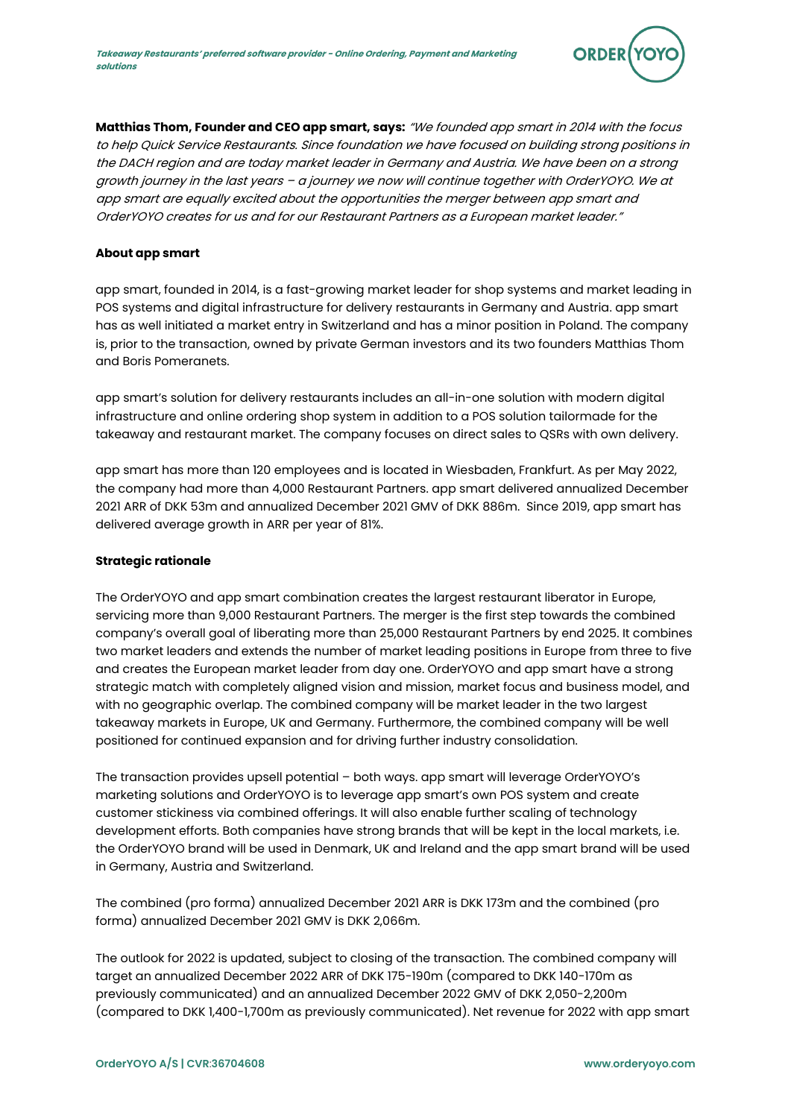

**Matthias Thom, Founder and CEO app smart, says:** "We founded app smart in 2014 with the focus to help Quick Service Restaurants. Since foundation we have focused on building strong positions in the DACH region and are today market leader in Germany and Austria. We have been on a strong growth journey in the last years – a journey we now will continue together with OrderYOYO. We at app smart are equally excited about the opportunities the merger between app smart and OrderYOYO creates for us and for our Restaurant Partners as a European market leader."

## **About app smart**

app smart, founded in 2014, is a fast-growing market leader for shop systems and market leading in POS systems and digital infrastructure for delivery restaurants in Germany and Austria. app smart has as well initiated a market entry in Switzerland and has a minor position in Poland. The company is, prior to the transaction, owned by private German investors and its two founders Matthias Thom and Boris Pomeranets.

app smart's solution for delivery restaurants includes an all-in-one solution with modern digital infrastructure and online ordering shop system in addition to a POS solution tailormade for the takeaway and restaurant market. The company focuses on direct sales to QSRs with own delivery.

app smart has more than 120 employees and is located in Wiesbaden, Frankfurt. As per May 2022, the company had more than 4,000 Restaurant Partners. app smart delivered annualized December 2021 ARR of DKK 53m and annualized December 2021 GMV of DKK 886m. Since 2019, app smart has delivered average growth in ARR per year of 81%.

#### **Strategic rationale**

The OrderYOYO and app smart combination creates the largest restaurant liberator in Europe, servicing more than 9,000 Restaurant Partners. The merger is the first step towards the combined company's overall goal of liberating more than 25,000 Restaurant Partners by end 2025. It combines two market leaders and extends the number of market leading positions in Europe from three to five and creates the European market leader from day one. OrderYOYO and app smart have a strong strategic match with completely aligned vision and mission, market focus and business model, and with no geographic overlap. The combined company will be market leader in the two largest takeaway markets in Europe, UK and Germany. Furthermore, the combined company will be well positioned for continued expansion and for driving further industry consolidation.

The transaction provides upsell potential – both ways. app smart will leverage OrderYOYO's marketing solutions and OrderYOYO is to leverage app smart's own POS system and create customer stickiness via combined offerings. It will also enable further scaling of technology development efforts. Both companies have strong brands that will be kept in the local markets, i.e. the OrderYOYO brand will be used in Denmark, UK and Ireland and the app smart brand will be used in Germany, Austria and Switzerland.

The combined (pro forma) annualized December 2021 ARR is DKK 173m and the combined (pro forma) annualized December 2021 GMV is DKK 2,066m.

The outlook for 2022 is updated, subject to closing of the transaction. The combined company will target an annualized December 2022 ARR of DKK 175-190m (compared to DKK 140-170m as previously communicated) and an annualized December 2022 GMV of DKK 2,050-2,200m (compared to DKK 1,400-1,700m as previously communicated). Net revenue for 2022 with app smart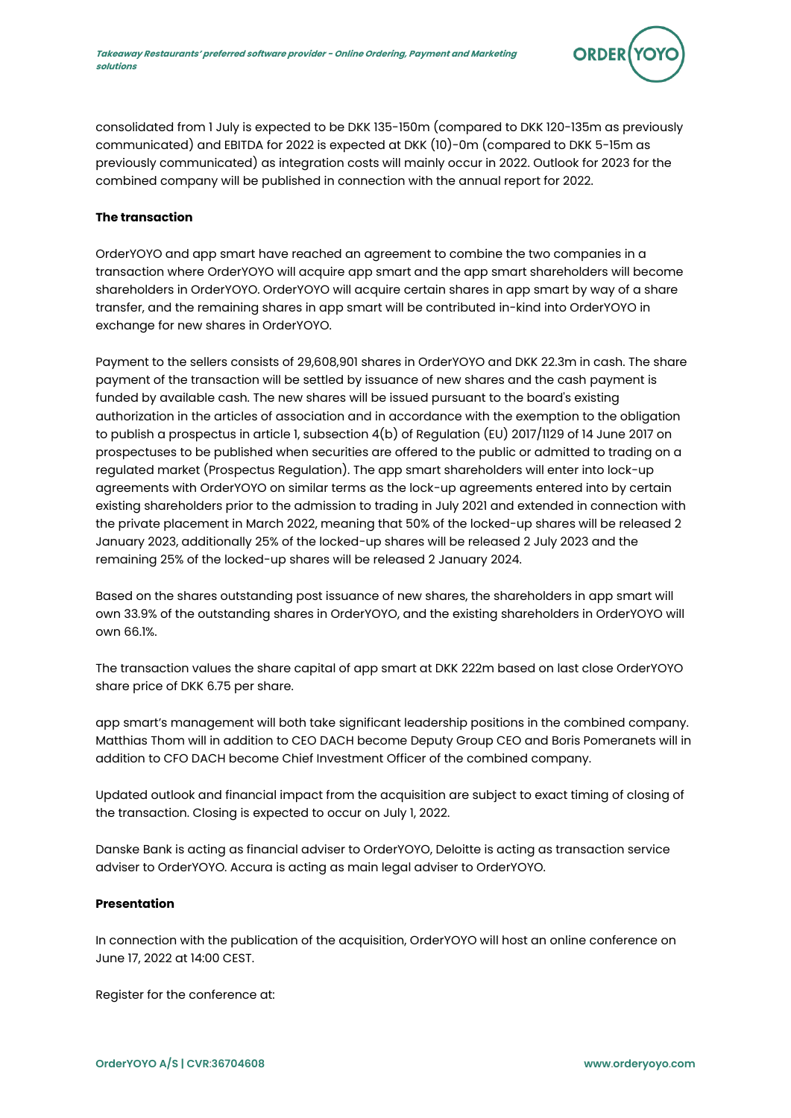

consolidated from 1 July is expected to be DKK 135-150m (compared to DKK 120-135m as previously communicated) and EBITDA for 2022 is expected at DKK (10)-0m (compared to DKK 5-15m as previously communicated) as integration costs will mainly occur in 2022. Outlook for 2023 for the combined company will be published in connection with the annual report for 2022.

## **The transaction**

OrderYOYO and app smart have reached an agreement to combine the two companies in a transaction where OrderYOYO will acquire app smart and the app smart shareholders will become shareholders in OrderYOYO. OrderYOYO will acquire certain shares in app smart by way of a share transfer, and the remaining shares in app smart will be contributed in-kind into OrderYOYO in exchange for new shares in OrderYOYO.

Payment to the sellers consists of 29,608,901 shares in OrderYOYO and DKK 22.3m in cash. The share payment of the transaction will be settled by issuance of new shares and the cash payment is funded by available cash. The new shares will be issued pursuant to the board's existing authorization in the articles of association and in accordance with the exemption to the obligation to publish a prospectus in article 1, subsection 4(b) of Regulation (EU) 2017/1129 of 14 June 2017 on prospectuses to be published when securities are offered to the public or admitted to trading on a regulated market (Prospectus Regulation). The app smart shareholders will enter into lock-up agreements with OrderYOYO on similar terms as the lock-up agreements entered into by certain existing shareholders prior to the admission to trading in July 2021 and extended in connection with the private placement in March 2022, meaning that 50% of the locked-up shares will be released 2 January 2023, additionally 25% of the locked-up shares will be released 2 July 2023 and the remaining 25% of the locked-up shares will be released 2 January 2024.

Based on the shares outstanding post issuance of new shares, the shareholders in app smart will own 33.9% of the outstanding shares in OrderYOYO, and the existing shareholders in OrderYOYO will own 66.1%.

The transaction values the share capital of app smart at DKK 222m based on last close OrderYOYO share price of DKK 6.75 per share.

app smart's management will both take significant leadership positions in the combined company. Matthias Thom will in addition to CEO DACH become Deputy Group CEO and Boris Pomeranets will in addition to CFO DACH become Chief Investment Officer of the combined company.

Updated outlook and financial impact from the acquisition are subject to exact timing of closing of the transaction. Closing is expected to occur on July 1, 2022.

Danske Bank is acting as financial adviser to OrderYOYO, Deloitte is acting as transaction service adviser to OrderYOYO. Accura is acting as main legal adviser to OrderYOYO.

## **Presentation**

In connection with the publication of the acquisition, OrderYOYO will host an online conference on June 17, 2022 at 14:00 CEST.

Register for the conference at: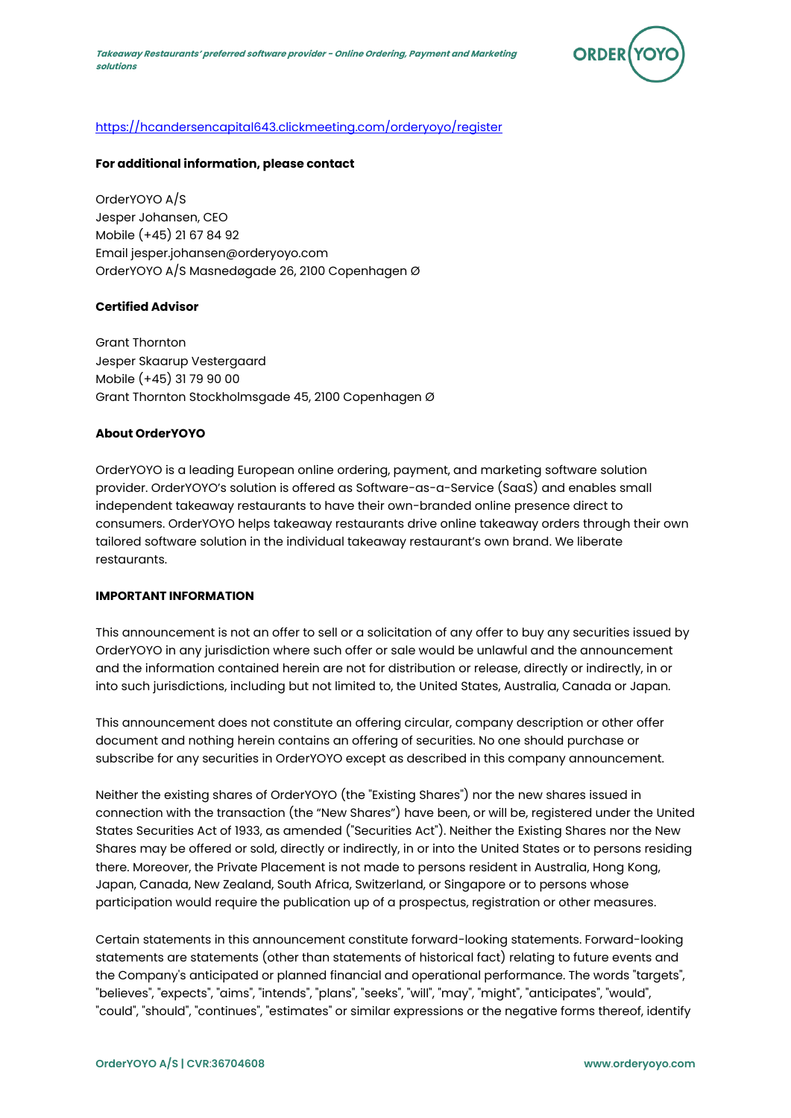

## [https://hcandersencapital643.clickmeeting.com/orderyoyo/register](https://urldefense.com/v3/__https:/eur02.safelinks.protection.outlook.com/?url=https*3A*2F*2Fhcandersencapital643.clickmeeting.com*2Forderyoyo*2Fregister&data=05*7C01*7C*7Cf750224041f24232185e08da4de6d59a*7C0edf54b0dc9e4f8f8ea40619cce0216e*7C0*7C0*7C637907951065760632*7CUnknown*7CTWFpbGZsb3d8eyJWIjoiMC4wLjAwMDAiLCJQIjoiV2luMzIiLCJBTiI6Ik1haWwiLCJXVCI6Mn0*3D*7C3000*7C*7C*7C&sdata=sjDlO0FDa8Athf9TPBHsIs7aRndqMqJxfrM5fzwzg*2B4*3D&reserved=0__;JSUlJSUlJSUlJSUlJSUlJSUlJSUl!!F_S_FTKmJFE!wKKMIUbtQjPOD9ehHUd84V6GoIzZ7LgkXtFQfayralrtUSyaGDbbdWvoMk9YqLyZqFYHptTt3FeU2TU1hFNK_uu7Swc$)

## **For additional information, please contact**

OrderYOYO A/S Jesper Johansen, CEO Mobile (+45) 21 67 84 92 Email jesper.johansen@orderyoyo.com OrderYOYO A/S Masnedøgade 26, 2100 Copenhagen Ø

## **Certified Advisor**

Grant Thornton Jesper Skaarup Vestergaard Mobile (+45) 31 79 90 00 Grant Thornton Stockholmsgade 45, 2100 Copenhagen Ø

## **About OrderYOYO**

OrderYOYO is a leading European online ordering, payment, and marketing software solution provider. OrderYOYO's solution is offered as Software-as-a-Service (SaaS) and enables small independent takeaway restaurants to have their own-branded online presence direct to consumers. OrderYOYO helps takeaway restaurants drive online takeaway orders through their own tailored software solution in the individual takeaway restaurant's own brand. We liberate restaurants.

## **IMPORTANT INFORMATION**

This announcement is not an offer to sell or a solicitation of any offer to buy any securities issued by OrderYOYO in any jurisdiction where such offer or sale would be unlawful and the announcement and the information contained herein are not for distribution or release, directly or indirectly, in or into such jurisdictions, including but not limited to, the United States, Australia, Canada or Japan.

This announcement does not constitute an offering circular, company description or other offer document and nothing herein contains an offering of securities. No one should purchase or subscribe for any securities in OrderYOYO except as described in this company announcement.

Neither the existing shares of OrderYOYO (the "Existing Shares") nor the new shares issued in connection with the transaction (the "New Shares") have been, or will be, registered under the United States Securities Act of 1933, as amended ("Securities Act"). Neither the Existing Shares nor the New Shares may be offered or sold, directly or indirectly, in or into the United States or to persons residing there. Moreover, the Private Placement is not made to persons resident in Australia, Hong Kong, Japan, Canada, New Zealand, South Africa, Switzerland, or Singapore or to persons whose participation would require the publication up of a prospectus, registration or other measures.

Certain statements in this announcement constitute forward-looking statements. Forward-looking statements are statements (other than statements of historical fact) relating to future events and the Company's anticipated or planned financial and operational performance. The words "targets", "believes", "expects", "aims", "intends", "plans", "seeks", "will", "may", "might", "anticipates", "would", "could", "should", "continues", "estimates" or similar expressions or the negative forms thereof, identify